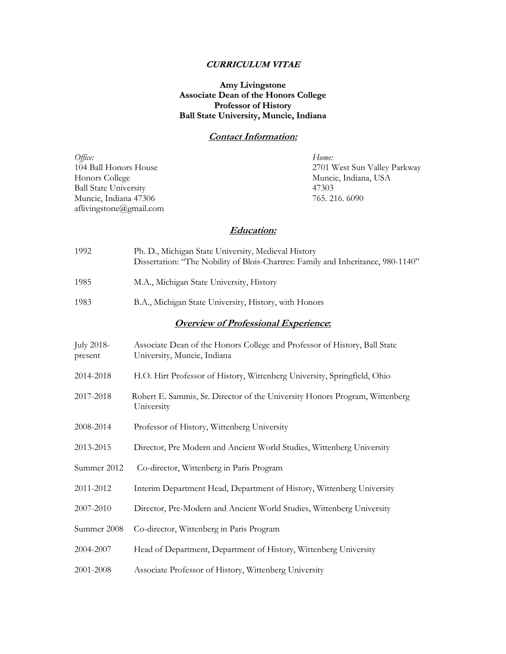# **CURRICULUM VITAE**

# **Amy Livingstone Associate Dean of the Honors College Professor of History Ball State University, Muncie, Indiana**

## **Contact Information:**

| Office:                      | Home:                        |
|------------------------------|------------------------------|
| 104 Ball Honors House        | 2701 West Sun Valley Parkway |
| Honors College               | Muncie, Indiana, USA         |
| <b>Ball State University</b> | 47303                        |
| Muncie, Indiana 47306        | 765, 216, 6090               |
| aflivingstone@gmail.com      |                              |

# **Education:**

| 1992                                        | Ph. D., Michigan State University, Medieval History<br>Dissertation: "The Nobility of Blois-Chartres: Family and Inheritance, 980-1140" |
|---------------------------------------------|-----------------------------------------------------------------------------------------------------------------------------------------|
| 1985                                        | M.A., Michigan State University, History                                                                                                |
| 1983                                        | B.A., Michigan State University, History, with Honors                                                                                   |
| <b>Overview of Professional Experience:</b> |                                                                                                                                         |
| July 2018-<br>present                       | Associate Dean of the Honors College and Professor of History, Ball State<br>University, Muncie, Indiana                                |
| 2014-2018                                   | H.O. Hirt Professor of History, Wittenberg University, Springfield, Ohio                                                                |

- 2017-2018 Robert E. Sammis, Sr. Director of the University Honors Program, Wittenberg University
- 2008-2014 Professor of History, Wittenberg University
- 2013-2015 Director, Pre Modern and Ancient World Studies, Wittenberg University
- Summer 2012 Co-director, Wittenberg in Paris Program
- 2011-2012 Interim Department Head, Department of History, Wittenberg University
- 2007-2010 Director, Pre-Modern and Ancient World Studies, Wittenberg University
- Summer 2008 Co-director, Wittenberg in Paris Program
- 2004-2007 Head of Department, Department of History, Wittenberg University
- 2001-2008 Associate Professor of History, Wittenberg University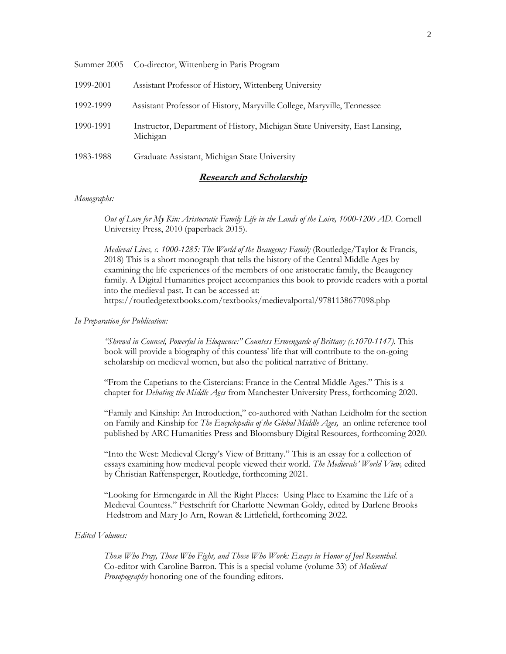| Summer 2005 | Co-director, Wittenberg in Paris Program                                                |
|-------------|-----------------------------------------------------------------------------------------|
| 1999-2001   | Assistant Professor of History, Wittenberg University                                   |
| 1992-1999   | Assistant Professor of History, Maryville College, Maryville, Tennessee                 |
| 1990-1991   | Instructor, Department of History, Michigan State University, East Lansing,<br>Michigan |
| 1983-1988   | Graduate Assistant, Michigan State University                                           |

# **Research and Scholarship**

#### *Monographs:*

*Out of Love for My Kin: Aristocratic Family Life in the Lands of the Loire, 1000-1200 AD.* Cornell University Press, 2010 (paperback 2015).

*Medieval Lives, c. 1000-1285: The World of the Beaugency Family* (Routledge/Taylor & Francis, 2018) This is a short monograph that tells the history of the Central Middle Ages by examining the life experiences of the members of one aristocratic family, the Beaugency family. A Digital Humanities project accompanies this book to provide readers with a portal into the medieval past. It can be accessed at: https://routledgetextbooks.com/textbooks/medievalportal/9781138677098.php

#### *In Preparation for Publication:*

*"Shrewd in Counsel, Powerful in Eloquence:" Countess Ermengarde of Brittany (c.1070-1147).* This book will provide a biography of this countess' life that will contribute to the on-going scholarship on medieval women, but also the political narrative of Brittany.

"From the Capetians to the Cistercians: France in the Central Middle Ages." This is a chapter for *Debating the Middle Ages* from Manchester University Press, forthcoming 2020.

"Family and Kinship: An Introduction," co-authored with Nathan Leidholm for the section on Family and Kinship for *The Encyclopedia of the Global Middle Ages,* an online reference tool published by ARC Humanities Press and Bloomsbury Digital Resources, forthcoming 2020.

"Into the West: Medieval Clergy's View of Brittany." This is an essay for a collection of essays examining how medieval people viewed their world. *The Medievals' World View,* edited by Christian Raffensperger, Routledge, forthcoming 2021.

"Looking for Ermengarde in All the Right Places: Using Place to Examine the Life of a Medieval Countess." Festschrift for Charlotte Newman Goldy, edited by Darlene Brooks Hedstrom and Mary Jo Arn, Rowan & Littlefield, forthcoming 2022.

#### *Edited Volumes:*

*Those Who Pray, Those Who Fight, and Those Who Work: Essays in Honor of Joel Rosenthal.*  Co-editor with Caroline Barron. This is a special volume (volume 33) of *Medieval Prosopography* honoring one of the founding editors.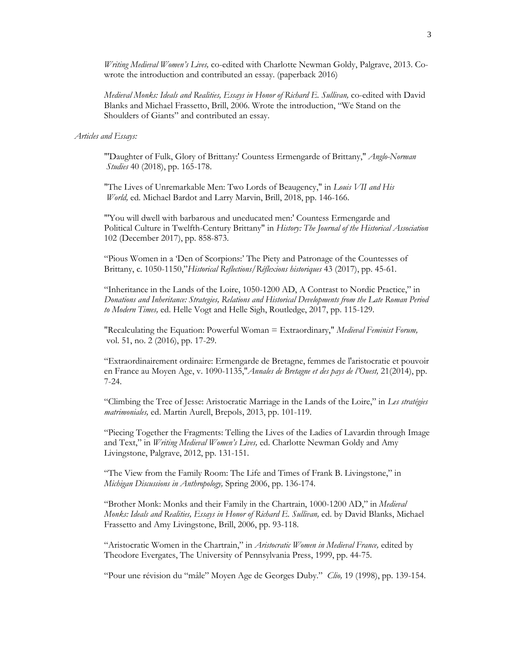*Writing Medieval Women's Lives,* co-edited with Charlotte Newman Goldy, Palgrave, 2013. Cowrote the introduction and contributed an essay. (paperback 2016)

*Medieval Monks: Ideals and Realities, Essays in Honor of Richard E. Sullivan,* co-edited with David Blanks and Michael Frassetto, Brill, 2006. Wrote the introduction, "We Stand on the Shoulders of Giants" and contributed an essay.

#### *Articles and Essays:*

"'Daughter of Fulk, Glory of Brittany:' Countess Ermengarde of Brittany," *Anglo-Norman Studies* 40 (2018), pp. 165-178.

"The Lives of Unremarkable Men: Two Lords of Beaugency," in *Louis VII and His World,* ed. Michael Bardot and Larry Marvin, Brill, 2018, pp. 146-166.

"'You will dwell with barbarous and uneducated men:' Countess Ermengarde and Political Culture in Twelfth-Century Brittany" in *History: The Journal of the Historical Association* 102 (December 2017), pp. 858-873.

"Pious Women in a 'Den of Scorpions:' The Piety and Patronage of the Countesses of Brittany, c. 1050-1150,"*Historical Reflections/Réflexions historiques* 43 (2017), pp. 45-61*.* 

"Inheritance in the Lands of the Loire, 1050-1200 AD, A Contrast to Nordic Practice," in *Donations and Inheritance: Strategies, Relations and Historical Developments from the Late Roman Period to Modern Times,* ed. Helle Vogt and Helle Sigh, Routledge, 2017, pp. 115-129.

"Recalculating the Equation: Powerful Woman = Extraordinary," *Medieval Feminist Forum,*  vol. 51, no. 2 (2016), pp. 17-29.

"Extraordinairement ordinaire: Ermengarde de Bretagne, femmes de l'aristocratie et pouvoir en France au Moyen Age, v. 1090-1135,"*Annales de Bretagne et des pays de l'Ouest,* 21(2014), pp. 7-24.

"Climbing the Tree of Jesse: Aristocratic Marriage in the Lands of the Loire," in *Les stratégies matrimoniales,* ed. Martin Aurell, Brepols, 2013, pp. 101-119.

"Piecing Together the Fragments: Telling the Lives of the Ladies of Lavardin through Image and Text," in *Writing Medieval Women's Lives,* ed. Charlotte Newman Goldy and Amy Livingstone, Palgrave, 2012, pp. 131-151.

"The View from the Family Room: The Life and Times of Frank B. Livingstone," in *Michigan Discussions in Anthropology,* Spring 2006, pp. 136-174.

"Brother Monk: Monks and their Family in the Chartrain, 1000-1200 AD," in *Medieval Monks: Ideals and Realities, Essays in Honor of Richard E. Sullivan,* ed. by David Blanks, Michael Frassetto and Amy Livingstone, Brill, 2006, pp. 93-118.

"Aristocratic Women in the Chartrain," in *Aristocratic Women in Medieval France,* edited by Theodore Evergates, The University of Pennsylvania Press, 1999, pp. 44-75.

"Pour une révision du "mâle" Moyen Age de Georges Duby." *Clio,* 19 (1998), pp. 139-154.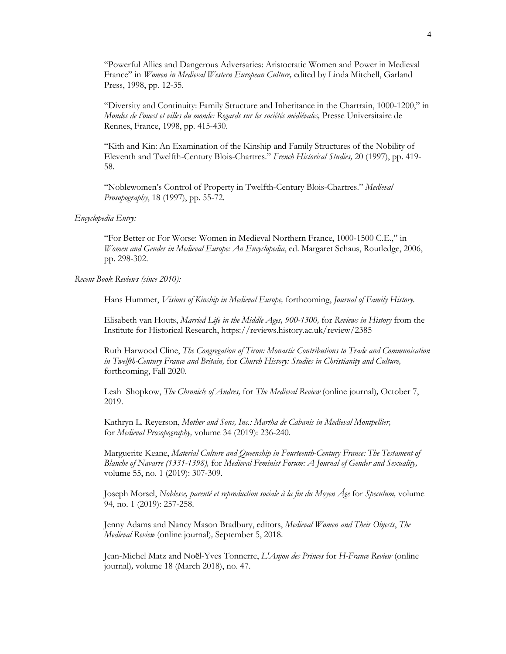"Powerful Allies and Dangerous Adversaries: Aristocratic Women and Power in Medieval France" in *Women in Medieval Western European Culture,* edited by Linda Mitchell, Garland Press, 1998, pp. 12-35.

"Diversity and Continuity: Family Structure and Inheritance in the Chartrain, 1000-1200," in *Mondes de l'ouest et villes du monde: Regards sur les sociétés médiévales,* Presse Universitaire de Rennes, France, 1998, pp. 415-430.

"Kith and Kin: An Examination of the Kinship and Family Structures of the Nobility of Eleventh and Twelfth-Century Blois-Chartres." *French Historical Studies,* 20 (1997), pp. 419- 58.

"Noblewomen's Control of Property in Twelfth-Century Blois-Chartres." *Medieval Prosopography*, 18 (1997), pp. 55-72.

#### *Encyclopedia Entry:*

"For Better or For Worse: Women in Medieval Northern France, 1000-1500 C.E.," in *Women and Gender in Medieval Europe: An Encyclopedia*, ed. Margaret Schaus, Routledge, 2006, pp. 298-302.

#### *Recent Book Reviews (since 2010):*

Hans Hummer, *Visions of Kinship in Medieval Europe,* forthcoming, *Journal of Family History.*

Elisabeth van Houts, *Married Life in the Middle Ages, 900-1300,* for *Reviews in History* from the Institute for Historical Research, https://reviews.history.ac.uk/review/2385

Ruth Harwood Cline, *The Congregation of Tiron: Monastic Contributions to Trade and Communication in Twelfth-Century France and Britain,* for *Church History: Studies in Christianity and Culture,*  forthcoming, Fall 2020.

Leah Shopkow, *The Chronicle of Andres,* for *The Medieval Review* (online journal)*,* October 7, 2019.

Kathryn L. Reyerson, *Mother and Sons, Inc.: Martha de Cabanis in Medieval Montpellier,* for *Medieval Prosopography,* volume 34 (2019): 236-240.

Marguerite Keane, *Material Culture and Queenship in Fourteenth-Century France: The Testament of Blanche of Navarre (1331-1398),* for *Medieval Feminist Forum: A Journal of Gender and Sexuality,*  volume 55, no. 1 (2019): 307-309.

Joseph Morsel, *Noblesse, parenté et reproduction sociale à la fin du Moyen Âge* for *Speculum,* volume 94, no. 1 (2019): 257-258.

Jenny Adams and Nancy Mason Bradbury, editors, *Medieval Women and Their Objects*, *The Medieval Review* (online journal)*,* September 5, 2018.

Jean-Michel Matz and Noël-Yves Tonnerre, *L'Anjou des Princes* for *H-France Review* (online journal)*,* volume 18 (March 2018), no. 47.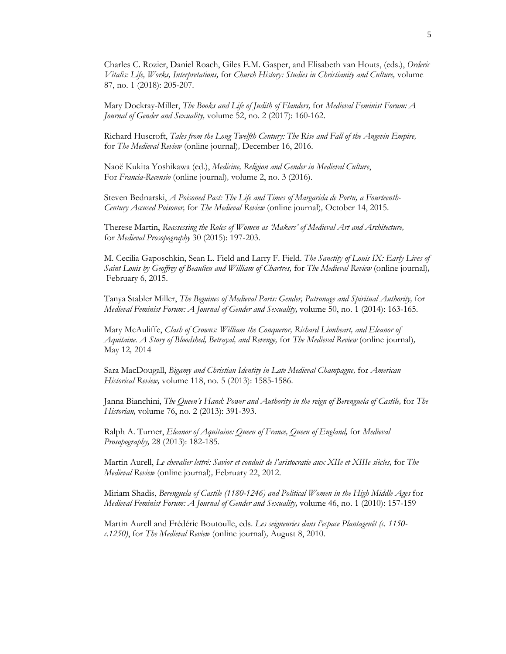Charles C. Rozier, Daniel Roach, Giles E.M. Gasper, and Elisabeth van Houts, (eds.), *Orderic Vitalis: Life, Works, Interpretations,* for *Church History: Studies in Christianity and Culture,* volume 87, no. 1 (2018): 205-207.

Mary Dockray-Miller, *The Books and Life of Judith of Flanders,* for *Medieval Feminist Forum: A Journal of Gender and Sexuality,* volume 52, no. 2 (2017): 160-162.

Richard Huscroft, *Tales from the Long Twelfth Century: The Rise and Fall of the Angevin Empire,* for *The Medieval Review* (online journal)*,* December 16, 2016.

Naoë Kukita Yoshikawa (ed.), *Medicine, Religion and Gender in Medieval Culture*, For *Francia-Recensio* (online journal)*,* volume 2, no. 3 (2016).

Steven Bednarski, *A Poisoned Past: The Life and Times of Margarida de Portu, a Fourteenth-Century Accused Poisoner,* for *The Medieval Review* (online journal)*,* October 14, 2015.

Therese Martin, *Reassessing the Roles of Women as 'Makers' of Medieval Art and Architecture,*  for *Medieval Prosopography* 30 (2015): 197-203.

M. Cecilia Gaposchkin, Sean L. Field and Larry F. Field. *The Sanctity of Louis IX: Early Lives of Saint Louis by Geoffrey of Beaulieu and William of Chartres,* for *The Medieval Review* (online journal)*,* February 6, 2015.

Tanya Stabler Miller, *The Beguines of Medieval Paris: Gender, Patronage and Spiritual Authority,* for *Medieval Feminist Forum: A Journal of Gender and Sexuality,* volume 50, no. 1 (2014): 163-165.

Mary McAuliffe, *Clash of Crowns: William the Conqueror, Richard Lionheart, and Eleanor of Aquitaine. A Story of Bloodshed, Betrayal, and Revenge,* for *The Medieval Review* (online journal)*,*  May 12*,* 2014

Sara MacDougall, *Bigamy and Christian Identity in Late Medieval Champagne*, for *American Historical Review,* volume 118, no. 5 (2013): 1585-1586.

Janna Bianchini, *The Queen's Hand: Power and Authority in the reign of Berenguela of Castile,* for *The Historian,* volume 76, no. 2 (2013): 391-393.

Ralph A. Turner, *Eleanor of Aquitaine: Queen of France, Queen of England,* for *Medieval Prosopography,* 28 (2013): 182-185.

Martin Aurell, *Le chevalier lettré: Savior et conduit de l'aristocratie aux XIIe et XIIIe siècles,* for *The Medieval Review* (online journal)*,* February 22, 2012.

Miriam Shadis, *Berenguela of Castile (1180-1246) and Political Women in the High Middle Ages* for *Medieval Feminist Forum: A Journal of Gender and Sexuality,* volume 46, no. 1 (2010): 157-159

Martin Aurell and Frédéric Boutoulle, eds. *Les seigneuries dans l'espace Plantagenêt (c. 1150 c.1250)*, for *The Medieval Review* (online journal)*,* August 8, 2010.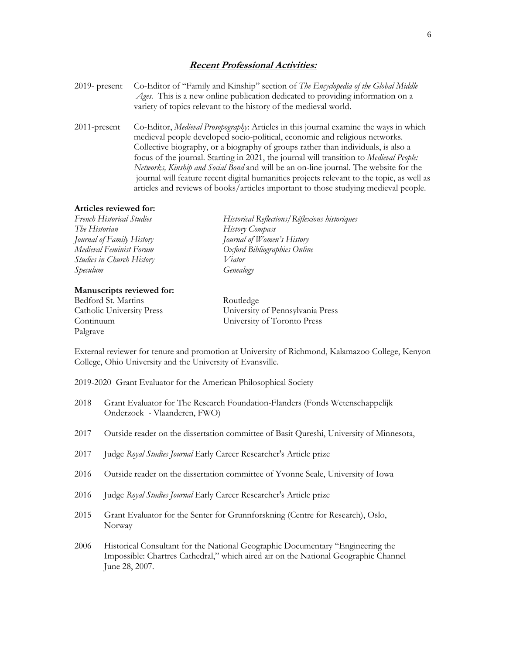#### **Recent Professional Activities:**

- 2019- present Co-Editor of "Family and Kinship" section of *The Encyclopedia of the Global Middle Ages.* This is a new online publication dedicated to providing information on a variety of topics relevant to the history of the medieval world.
- 2011-present Co-Editor, *Medieval Prosopography*: Articles in this journal examine the ways in which medieval people developed socio-political, economic and religious networks. Collective biography, or a biography of groups rather than individuals, is also a focus of the journal. Starting in 2021, the journal will transition to *Medieval People: Networks, Kinship and Social Bond* and will be an on-line journal. The website for the journal will feature recent digital humanities projects relevant to the topic, as well as articles and reviews of books/articles important to those studying medieval people.

#### **Articles reviewed for:**

*French Historical Studies Historical Reflections/Réflexions historiques The Historian History Compass Journal of Family History Journal of Women's History Medieval Feminist Forum Oxford Bibliographies Online Studies in Church History Viator Speculum Genealogy*

#### **Manuscripts reviewed for:**

Bedford St. Martins Routledge Continuum University of Toronto Press Palgrave

Catholic University Press University of Pennsylvania Press

External reviewer for tenure and promotion at University of Richmond, Kalamazoo College, Kenyon College, Ohio University and the University of Evansville.

- 2019-2020 Grant Evaluator for the American Philosophical Society
- 2018 Grant Evaluator for The Research Foundation-Flanders (Fonds Wetenschappelijk Onderzoek - Vlaanderen, FWO)
- 2017 Outside reader on the dissertation committee of Basit Qureshi, University of Minnesota,
- 2017 Judge *Royal Studies Journal Early Career Researcher's Article prize*
- 2016 Outside reader on the dissertation committee of Yvonne Seale, University of Iowa
- 2016 Judge *Royal Studies Journal Early Career Researcher's Article prize*
- 2015 Grant Evaluator for the Senter for Grunnforskning (Centre for Research), Oslo, Norway
- 2006 Historical Consultant for the National Geographic Documentary "Engineering the Impossible: Chartres Cathedral," which aired air on the National Geographic Channel June 28, 2007.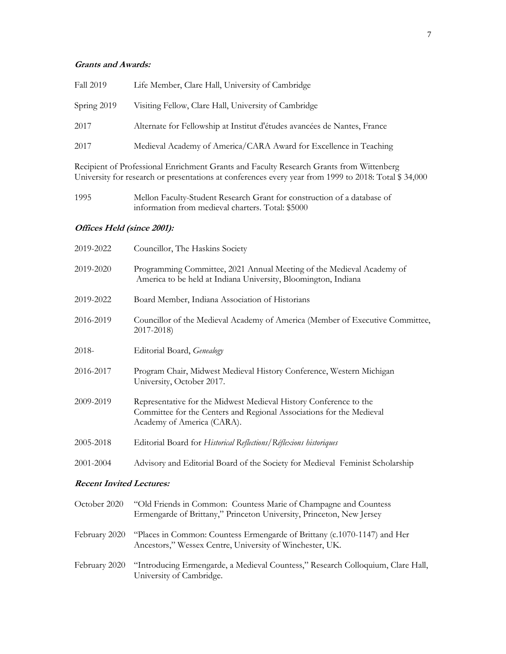# **Grants and Awards:**

| Fall 2019   | Life Member, Clare Hall, University of Cambridge                         |
|-------------|--------------------------------------------------------------------------|
| Spring 2019 | Visiting Fellow, Clare Hall, University of Cambridge                     |
| 2017        | Alternate for Fellowship at Institut d'études avancées de Nantes, France |
| 2017        | Medieval Academy of America/CARA Award for Excellence in Teaching        |
|             | n'' (n'' 10'' O 10'' n 10''                                              |

Recipient of Professional Enrichment Grants and Faculty Research Grants from Wittenberg University for research or presentations at conferences every year from 1999 to 2018: Total \$ 34,000

| 1995 | Mellon Faculty-Student Research Grant for construction of a database of |
|------|-------------------------------------------------------------------------|
|      | information from medieval charters. Total: \$5000                       |

# **Offices Held (since 2001):**

| 2019-2022                       | Councillor, The Haskins Society                                                                                                                                         |
|---------------------------------|-------------------------------------------------------------------------------------------------------------------------------------------------------------------------|
| 2019-2020                       | Programming Committee, 2021 Annual Meeting of the Medieval Academy of<br>America to be held at Indiana University, Bloomington, Indiana                                 |
| 2019-2022                       | Board Member, Indiana Association of Historians                                                                                                                         |
| 2016-2019                       | Councillor of the Medieval Academy of America (Member of Executive Committee,<br>2017-2018)                                                                             |
| 2018-                           | Editorial Board, Genealogy                                                                                                                                              |
| 2016-2017                       | Program Chair, Midwest Medieval History Conference, Western Michigan<br>University, October 2017.                                                                       |
| 2009-2019                       | Representative for the Midwest Medieval History Conference to the<br>Committee for the Centers and Regional Associations for the Medieval<br>Academy of America (CARA). |
| 2005-2018                       | Editorial Board for Historical Reflections/Réflexions historiques                                                                                                       |
| 2001-2004                       | Advisory and Editorial Board of the Society for Medieval Feminist Scholarship                                                                                           |
| <b>Recent Invited Lectures:</b> |                                                                                                                                                                         |

| October 2020  | "Old Friends in Common: Countess Marie of Champagne and Countess<br>Ermengarde of Brittany," Princeton University, Princeton, New Jersey |
|---------------|------------------------------------------------------------------------------------------------------------------------------------------|
| February 2020 | "Places in Common: Countess Ermengarde of Brittany (c.1070-1147) and Her<br>Ancestors," Wessex Centre, University of Winchester, UK.     |
| February 2020 | "Introducing Ermengarde, a Medieval Countess," Research Colloquium, Clare Hall,<br>University of Cambridge.                              |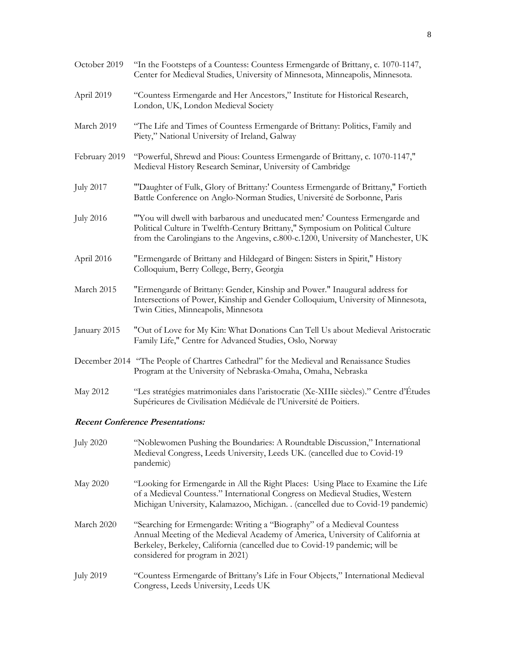| October 2019                            | "In the Footsteps of a Countess: Countess Ermengarde of Brittany, c. 1070-1147,<br>Center for Medieval Studies, University of Minnesota, Minneapolis, Minnesota.                                                                                   |
|-----------------------------------------|----------------------------------------------------------------------------------------------------------------------------------------------------------------------------------------------------------------------------------------------------|
| April 2019                              | "Countess Ermengarde and Her Ancestors," Institute for Historical Research,<br>London, UK, London Medieval Society                                                                                                                                 |
| March 2019                              | "The Life and Times of Countess Ermengarde of Brittany: Politics, Family and<br>Piety," National University of Ireland, Galway                                                                                                                     |
| February 2019                           | "Powerful, Shrewd and Pious: Countess Ermengarde of Brittany, c. 1070-1147,"<br>Medieval History Research Seminar, University of Cambridge                                                                                                         |
| <b>July 2017</b>                        | "Daughter of Fulk, Glory of Brittany:' Countess Ermengarde of Brittany," Fortieth<br>Battle Conference on Anglo-Norman Studies, Université de Sorbonne, Paris                                                                                      |
| <b>July 2016</b>                        | "You will dwell with barbarous and uneducated men:' Countess Ermengarde and<br>Political Culture in Twelfth-Century Brittany," Symposium on Political Culture<br>from the Carolingians to the Angevins, c.800-c.1200, University of Manchester, UK |
| April 2016                              | "Ermengarde of Brittany and Hildegard of Bingen: Sisters in Spirit," History<br>Colloquium, Berry College, Berry, Georgia                                                                                                                          |
| March 2015                              | "Ermengarde of Brittany: Gender, Kinship and Power." Inaugural address for<br>Intersections of Power, Kinship and Gender Colloquium, University of Minnesota,<br>Twin Cities, Minneapolis, Minnesota                                               |
| January 2015                            | "Out of Love for My Kin: What Donations Can Tell Us about Medieval Aristocratic<br>Family Life," Centre for Advanced Studies, Oslo, Norway                                                                                                         |
|                                         | December 2014 "The People of Chartres Cathedral" for the Medieval and Renaissance Studies<br>Program at the University of Nebraska-Omaha, Omaha, Nebraska                                                                                          |
| May 2012                                | "Les stratégies matrimoniales dans l'aristocratie (Xe-XIIIe siècles)." Centre d'Études<br>Supérieures de Civilisation Médiévale de l'Université de Poitiers.                                                                                       |
| <b>Recent Conference Presentations:</b> |                                                                                                                                                                                                                                                    |
| <b>July 2020</b>                        | "Noblewomen Pushing the Boundaries: A Roundtable Discussion," International<br>Medieval Congress, Leeds University, Leeds UK. (cancelled due to Covid-19<br>pandemic)                                                                              |

- May 2020 "Looking for Ermengarde in All the Right Places: Using Place to Examine the Life of a Medieval Countess." International Congress on Medieval Studies, Western Michigan University, Kalamazoo, Michigan. . (cancelled due to Covid-19 pandemic)
- March 2020 "Searching for Ermengarde: Writing a "Biography" of a Medieval Countess Annual Meeting of the Medieval Academy of America, University of California at Berkeley, Berkeley, California (cancelled due to Covid-19 pandemic; will be considered for program in 2021)
- July 2019 "Countess Ermengarde of Brittany's Life in Four Objects," International Medieval Congress, Leeds University, Leeds UK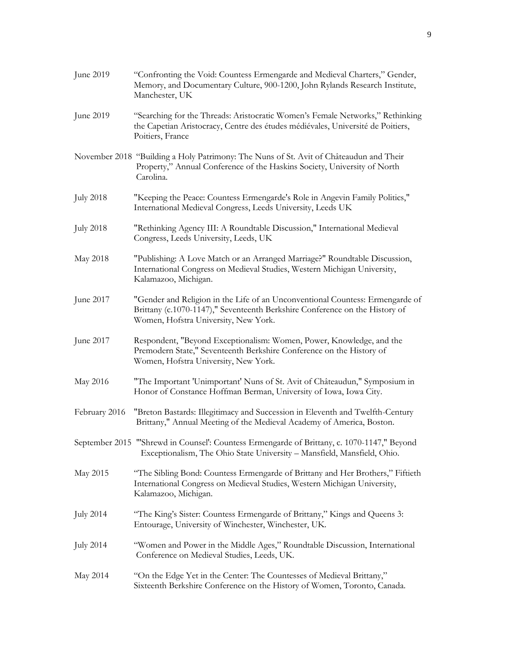| June 2019        | "Confronting the Void: Countess Ermengarde and Medieval Charters," Gender,<br>Memory, and Documentary Culture, 900-1200, John Rylands Research Institute,<br>Manchester, UK                          |
|------------------|------------------------------------------------------------------------------------------------------------------------------------------------------------------------------------------------------|
| June 2019        | "Searching for the Threads: Aristocratic Women's Female Networks," Rethinking<br>the Capetian Aristocracy, Centre des études médiévales, Université de Poitiers,<br>Poitiers, France                 |
|                  | November 2018 "Building a Holy Patrimony: The Nuns of St. Avit of Châteaudun and Their<br>Property," Annual Conference of the Haskins Society, University of North<br>Carolina.                      |
| <b>July 2018</b> | "Keeping the Peace: Countess Ermengarde's Role in Angevin Family Politics,"<br>International Medieval Congress, Leeds University, Leeds UK                                                           |
| <b>July 2018</b> | "Rethinking Agency III: A Roundtable Discussion," International Medieval<br>Congress, Leeds University, Leeds, UK                                                                                    |
| May 2018         | "Publishing: A Love Match or an Arranged Marriage?" Roundtable Discussion,<br>International Congress on Medieval Studies, Western Michigan University,<br>Kalamazoo, Michigan.                       |
| June 2017        | "Gender and Religion in the Life of an Unconventional Countess: Ermengarde of<br>Brittany (c.1070-1147)," Seventeenth Berkshire Conference on the History of<br>Women, Hofstra University, New York. |
| June 2017        | Respondent, "Beyond Exceptionalism: Women, Power, Knowledge, and the<br>Premodern State," Seventeenth Berkshire Conference on the History of<br>Women, Hofstra University, New York.                 |
| May 2016         | "The Important 'Unimportant' Nuns of St. Avit of Châteaudun," Symposium in<br>Honor of Constance Hoffman Berman, University of Iowa, Iowa City.                                                      |
| February 2016    | "Breton Bastards: Illegitimacy and Succession in Eleventh and Twelfth-Century<br>Brittany," Annual Meeting of the Medieval Academy of America, Boston.                                               |
|                  | September 2015 "'Shrewd in Counsel': Countess Ermengarde of Brittany, c. 1070-1147," Beyond<br>Exceptionalism, The Ohio State University - Mansfield, Mansfield, Ohio.                               |
| May 2015         | "The Sibling Bond: Countess Ermengarde of Brittany and Her Brothers," Fiftieth<br>International Congress on Medieval Studies, Western Michigan University,<br>Kalamazoo, Michigan.                   |
| <b>July 2014</b> | "The King's Sister: Countess Ermengarde of Brittany," Kings and Queens 3:<br>Entourage, University of Winchester, Winchester, UK.                                                                    |
| <b>July 2014</b> | "Women and Power in the Middle Ages," Roundtable Discussion, International<br>Conference on Medieval Studies, Leeds, UK.                                                                             |
| May 2014         | "On the Edge Yet in the Center: The Countesses of Medieval Brittany,"<br>Sixteenth Berkshire Conference on the History of Women, Toronto, Canada.                                                    |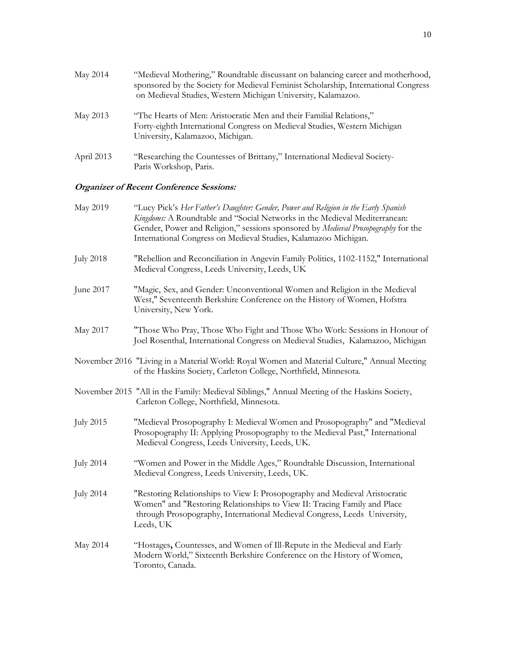| May 2014   | "Medieval Mothering," Roundtable discussant on balancing career and motherhood,<br>sponsored by the Society for Medieval Feminist Scholarship, International Congress<br>on Medieval Studies, Western Michigan University, Kalamazoo. |
|------------|---------------------------------------------------------------------------------------------------------------------------------------------------------------------------------------------------------------------------------------|
| May 2013   | "The Hearts of Men: Aristocratic Men and their Familial Relations,"<br>Forty-eighth International Congress on Medieval Studies, Western Michigan<br>University, Kalamazoo, Michigan.                                                  |
| April 2013 | "Researching the Countesses of Brittany," International Medieval Society-<br>Paris Workshop, Paris.                                                                                                                                   |

# **Organizer of Recent Conference Sessions:**

| May 2019         | "Lucy Pick's Her Father's Daughter: Gender, Power and Religion in the Early Spanish<br>Kingdoms: A Roundtable and "Social Networks in the Medieval Mediterranean:<br>Gender, Power and Religion," sessions sponsored by Medieval Prosopography for the<br>International Congress on Medieval Studies, Kalamazoo Michigan. |
|------------------|---------------------------------------------------------------------------------------------------------------------------------------------------------------------------------------------------------------------------------------------------------------------------------------------------------------------------|
| <b>July 2018</b> | "Rebellion and Reconciliation in Angevin Family Politics, 1102-1152," International<br>Medieval Congress, Leeds University, Leeds, UK                                                                                                                                                                                     |
| June 2017        | "Magic, Sex, and Gender: Unconventional Women and Religion in the Medieval<br>West," Seventeenth Berkshire Conference on the History of Women, Hofstra<br>University, New York.                                                                                                                                           |
| May 2017         | "Those Who Pray, Those Who Fight and Those Who Work: Sessions in Honour of<br>Joel Rosenthal, International Congress on Medieval Studies, Kalamazoo, Michigan                                                                                                                                                             |
|                  | November 2016 "Living in a Material World: Royal Women and Material Culture," Annual Meeting<br>of the Haskins Society, Carleton College, Northfield, Minnesota.                                                                                                                                                          |
|                  | November 2015 "All in the Family: Medieval Siblings," Annual Meeting of the Haskins Society,<br>Carleton College, Northfield, Minnesota.                                                                                                                                                                                  |
| <b>July 2015</b> | "Medieval Prosopography I: Medieval Women and Prosopography" and "Medieval<br>Prosopography II: Applying Prosopography to the Medieval Past," International<br>Medieval Congress, Leeds University, Leeds, UK.                                                                                                            |
| <b>July 2014</b> | "Women and Power in the Middle Ages," Roundtable Discussion, International<br>Medieval Congress, Leeds University, Leeds, UK.                                                                                                                                                                                             |
| <b>July 2014</b> | "Restoring Relationships to View I: Prosopography and Medieval Aristocratic<br>Women" and "Restoring Relationships to View II: Tracing Family and Place<br>through Prosopography, International Medieval Congress, Leeds University,<br>Leeds, UK                                                                         |
| May 2014         | "Hostages, Countesses, and Women of Ill-Repute in the Medieval and Early<br>Modern World," Sixteenth Berkshire Conference on the History of Women,<br>Toronto, Canada.                                                                                                                                                    |